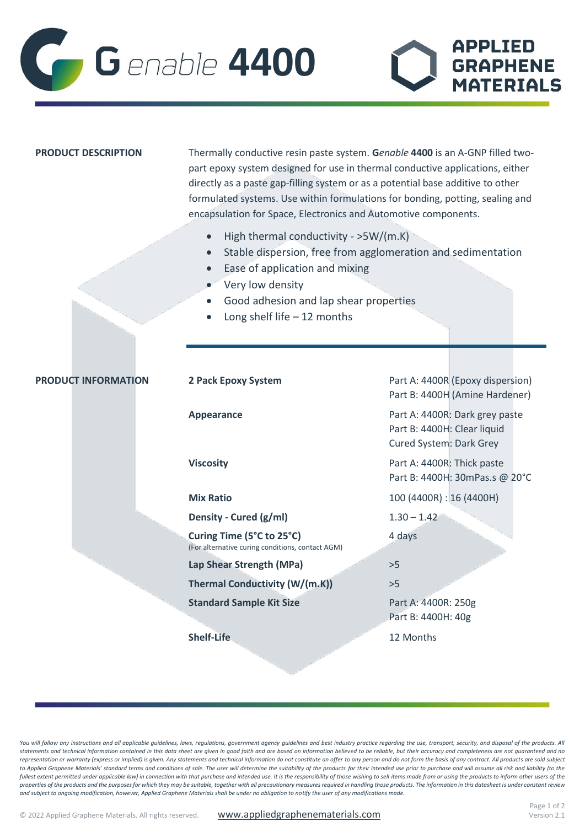

| <b>PRODUCT DESCRIPTION</b> | Thermally conductive resin paste system. Genable 4400 is an A-GNP filled two-<br>part epoxy system designed for use in thermal conductive applications, either<br>directly as a paste gap-filling system or as a potential base additive to other<br>formulated systems. Use within formulations for bonding, potting, sealing and<br>encapsulation for Space, Electronics and Automotive components. |                                                                                          |
|----------------------------|-------------------------------------------------------------------------------------------------------------------------------------------------------------------------------------------------------------------------------------------------------------------------------------------------------------------------------------------------------------------------------------------------------|------------------------------------------------------------------------------------------|
|                            | High thermal conductivity - >5W/(m.K)<br>Stable dispersion, free from agglomeration and sedimentation<br>$\bullet$<br>Ease of application and mixing<br>Very low density<br>Good adhesion and lap shear properties<br>Long shelf life $-12$ months                                                                                                                                                    |                                                                                          |
|                            |                                                                                                                                                                                                                                                                                                                                                                                                       |                                                                                          |
| <b>PRODUCT INFORMATION</b> | 2 Pack Epoxy System                                                                                                                                                                                                                                                                                                                                                                                   | Part A: 4400R (Epoxy dispersion)<br>Part B: 4400H (Amine Hardener)                       |
|                            | <b>Appearance</b>                                                                                                                                                                                                                                                                                                                                                                                     | Part A: 4400R: Dark grey paste<br>Part B: 4400H: Clear liquid<br>Cured System: Dark Grey |
|                            | <b>Viscosity</b>                                                                                                                                                                                                                                                                                                                                                                                      | Part A: 4400R: Thick paste<br>Part B: 4400H: 30mPas.s @ 20°C                             |
|                            | <b>Mix Ratio</b>                                                                                                                                                                                                                                                                                                                                                                                      | 100 (4400R) : 16 (4400H)                                                                 |
|                            | Density - Cured (g/ml)                                                                                                                                                                                                                                                                                                                                                                                | $1.30 - 1.42$                                                                            |
|                            | Curing Time (5°C to 25°C)<br>(For alternative curing conditions, contact AGM)                                                                                                                                                                                                                                                                                                                         | 4 days                                                                                   |
|                            | Lap Shear Strength (MPa)                                                                                                                                                                                                                                                                                                                                                                              | >5                                                                                       |
|                            | Thermal Conductivity (W/(m.K))                                                                                                                                                                                                                                                                                                                                                                        | >5                                                                                       |
|                            | <b>Standard Sample Kit Size</b>                                                                                                                                                                                                                                                                                                                                                                       | Part A: 4400R: 250g<br>Part B: 4400H: 40g                                                |
|                            | Shelf-Life                                                                                                                                                                                                                                                                                                                                                                                            | 12 Months                                                                                |

You will follow any instructions and all applicable guidelines, laws, regulations, government agency guidelines and best industry practice regarding the use, transport, security, and disposal of the products. All *statements and technical information contained in this data sheet are given in good faith and are based on information believed to be reliable, but their accuracy and completeness are not guaranteed and no*  representation or warranty (express or implied) is given. Any statements and technical information do not constitute an offer to any person and do not form the basis of any contract. All products are sold subject to Applied Graphene Materials' standard terms and conditions of sale. The user will determine the suitability of the products for their intended use prior to purchase and will assume all risk and liability (to the fullest extent permitted under applicable law) in connection with that purchase and intended use. It is the responsibility of those wishing to sell items made from or using the products to inform other users of the *properties of the products and the purposes for which they may be suitable, together with all precautionary measures required in handling those products. The information in this datasheet is under constant review and subject to ongoing modification, however, Applied Graphene Materials shall be under no obligation to notify the user of any modifications made.*

**APPLIED** 

**GRAPHENE** 

**MATERIALS**